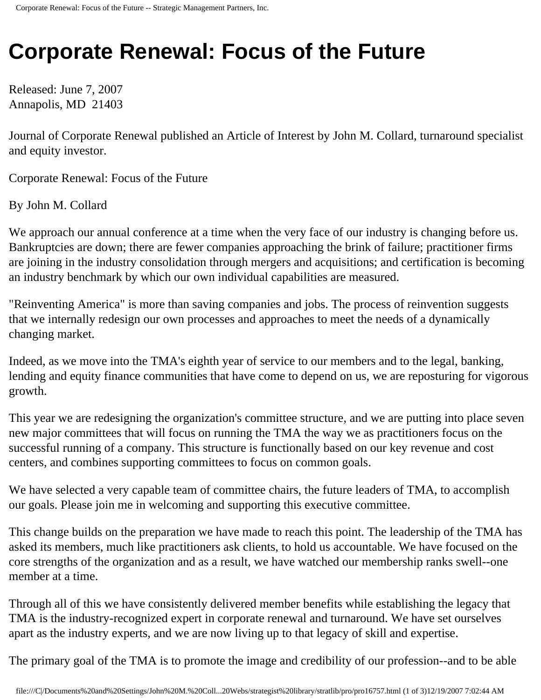## **Corporate Renewal: Focus of the Future**

Released: June 7, 2007 Annapolis, MD 21403

Journal of Corporate Renewal published an Article of Interest by John M. Collard, turnaround specialist and equity investor.

Corporate Renewal: Focus of the Future

By John M. Collard

We approach our annual conference at a time when the very face of our industry is changing before us. Bankruptcies are down; there are fewer companies approaching the brink of failure; practitioner firms are joining in the industry consolidation through mergers and acquisitions; and certification is becoming an industry benchmark by which our own individual capabilities are measured.

"Reinventing America" is more than saving companies and jobs. The process of reinvention suggests that we internally redesign our own processes and approaches to meet the needs of a dynamically changing market.

Indeed, as we move into the TMA's eighth year of service to our members and to the legal, banking, lending and equity finance communities that have come to depend on us, we are reposturing for vigorous growth.

This year we are redesigning the organization's committee structure, and we are putting into place seven new major committees that will focus on running the TMA the way we as practitioners focus on the successful running of a company. This structure is functionally based on our key revenue and cost centers, and combines supporting committees to focus on common goals.

We have selected a very capable team of committee chairs, the future leaders of TMA, to accomplish our goals. Please join me in welcoming and supporting this executive committee.

This change builds on the preparation we have made to reach this point. The leadership of the TMA has asked its members, much like practitioners ask clients, to hold us accountable. We have focused on the core strengths of the organization and as a result, we have watched our membership ranks swell--one member at a time.

Through all of this we have consistently delivered member benefits while establishing the legacy that TMA is the industry-recognized expert in corporate renewal and turnaround. We have set ourselves apart as the industry experts, and we are now living up to that legacy of skill and expertise.

The primary goal of the TMA is to promote the image and credibility of our profession--and to be able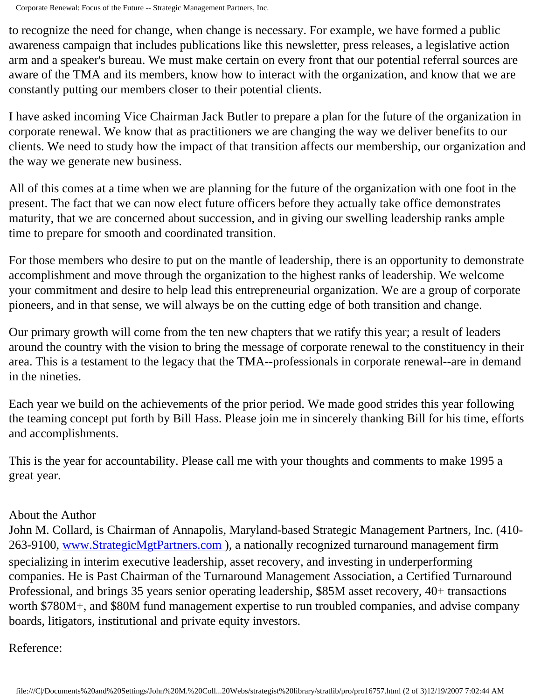to recognize the need for change, when change is necessary. For example, we have formed a public awareness campaign that includes publications like this newsletter, press releases, a legislative action arm and a speaker's bureau. We must make certain on every front that our potential referral sources are aware of the TMA and its members, know how to interact with the organization, and know that we are constantly putting our members closer to their potential clients.

I have asked incoming Vice Chairman Jack Butler to prepare a plan for the future of the organization in corporate renewal. We know that as practitioners we are changing the way we deliver benefits to our clients. We need to study how the impact of that transition affects our membership, our organization and the way we generate new business.

All of this comes at a time when we are planning for the future of the organization with one foot in the present. The fact that we can now elect future officers before they actually take office demonstrates maturity, that we are concerned about succession, and in giving our swelling leadership ranks ample time to prepare for smooth and coordinated transition.

For those members who desire to put on the mantle of leadership, there is an opportunity to demonstrate accomplishment and move through the organization to the highest ranks of leadership. We welcome your commitment and desire to help lead this entrepreneurial organization. We are a group of corporate pioneers, and in that sense, we will always be on the cutting edge of both transition and change.

Our primary growth will come from the ten new chapters that we ratify this year; a result of leaders around the country with the vision to bring the message of corporate renewal to the constituency in their area. This is a testament to the legacy that the TMA--professionals in corporate renewal--are in demand in the nineties.

Each year we build on the achievements of the prior period. We made good strides this year following the teaming concept put forth by Bill Hass. Please join me in sincerely thanking Bill for his time, efforts and accomplishments.

This is the year for accountability. Please call me with your thoughts and comments to make 1995 a great year.

## About the Author

John M. Collard, is Chairman of Annapolis, Maryland-based Strategic Management Partners, Inc. (410- 263-9100, [www.StrategicMgtPartners.com](http://www.strategicmgtpartners.com/) ), a nationally recognized turnaround management firm specializing in interim executive leadership, asset recovery, and investing in underperforming companies. He is Past Chairman of the Turnaround Management Association, a Certified Turnaround Professional, and brings 35 years senior operating leadership, \$85M asset recovery, 40+ transactions worth \$780M+, and \$80M fund management expertise to run troubled companies, and advise company boards, litigators, institutional and private equity investors.

## Reference: